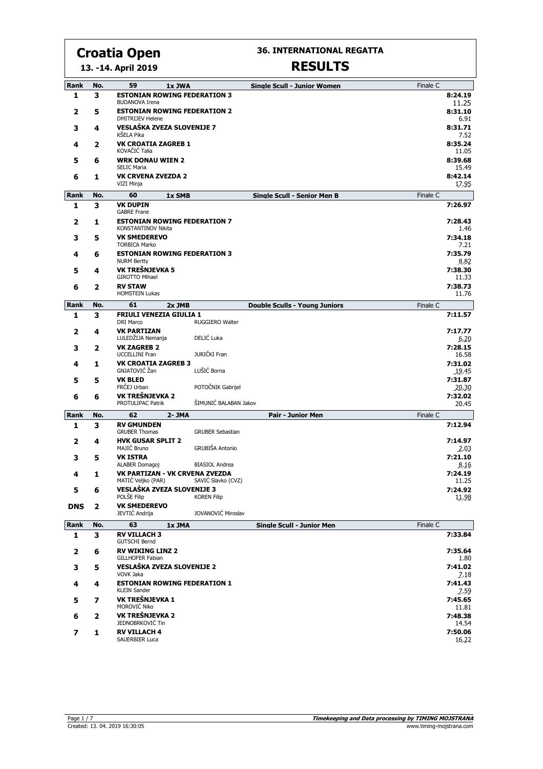**13. -14. April 2019**

#### **36. INTERNATIONAL REGATTA**

| <b>Rank</b> | No. | 59<br>1x JWA                                                   |                         | <b>Single Scull - Junior Women</b>   | Finale C |                  |
|-------------|-----|----------------------------------------------------------------|-------------------------|--------------------------------------|----------|------------------|
| 1           | з   | <b>ESTONIAN ROWING FEDERATION 3</b><br><b>BUDANOVA Irena</b>   |                         |                                      |          | 8:24.19<br>11.25 |
| 2           | 5   | <b>ESTONIAN ROWING FEDERATION 2</b><br><b>DMITRIJEV Helene</b> |                         |                                      |          | 8:31.10<br>6.91  |
| 3           | 4   | <b>VESLAŠKA ZVEZA SLOVENIJE 7</b><br>KŠELA Pika                |                         |                                      |          | 8:31.71<br>7.52  |
| 4           | 2   | <b>VK CROATIA ZAGREB 1</b><br>KOVAČIĆ Talia                    |                         |                                      |          | 8:35.24<br>11.05 |
| 5           | 6   | <b>WRK DONAU WIEN 2</b><br><b>SELIC Maria</b>                  |                         |                                      |          | 8:39.68<br>15.49 |
| 6           | 1   | <b>VK CRVENA ZVEZDA 2</b><br>VIZI Minja                        |                         |                                      |          | 8:42.14<br>17.95 |
| Rank        | No. | 60<br>1x SMB                                                   |                         | <b>Single Scull - Senior Men B</b>   | Finale C |                  |
| 1           | 3   | <b>VK DUPIN</b>                                                |                         |                                      |          | 7:26.97          |
| 2           | 1   | <b>GABRE Frane</b><br><b>ESTONIAN ROWING FEDERATION 7</b>      |                         |                                      |          | 7:28.43          |
| 3           | 5   | <b>KONSTANTINOV Nikita</b><br><b>VK SMEDEREVO</b>              |                         |                                      |          | 1.46<br>7:34.18  |
|             |     | <b>TORBICA Marko</b>                                           |                         |                                      |          | 7.21             |
| 4           | 6   | <b>ESTONIAN ROWING FEDERATION 3</b><br><b>NURM Bertty</b>      |                         |                                      |          | 7:35.79<br>8.82  |
| 5           | 4   | VK TREŠNJEVKA 5<br><b>GIROTTO Mihael</b>                       |                         |                                      |          | 7:38.30<br>11.33 |
| 6           | 2   | <b>RV STAW</b><br><b>HOMSTEIN Lukas</b>                        |                         |                                      |          | 7:38.73<br>11.76 |
| Rank        | No. | 61<br>$2x$ JMB                                                 |                         | <b>Double Sculls - Young Juniors</b> | Finale C |                  |
| 1           | 3   | <b>FRIULI VENEZIA GIULIA 1</b><br><b>DRI Marco</b>             | RUGGIERO Walter         |                                      |          | 7:11.57          |
| 2           | 4   | <b>VK PARTIZAN</b><br>LULEDŽIJA Nemanja                        | DELIĆ Luka              |                                      |          | 7:17.77<br>6.20  |
| 3           | 2   | <b>VK ZAGREB 2</b><br><b>UCCELLINI Fran</b>                    | JURIČKI Fran            |                                      |          | 7:28.15<br>16.58 |
| 4           | 1   | <b>VK CROATIA ZAGREB 3</b>                                     |                         |                                      |          | 7:31.02          |
| 5           | 5   | GNJATOVIĆ Žan<br><b>VK BLED</b>                                | LUŠIĆ Borna             |                                      |          | 19.45<br>7:31.87 |
|             |     | FRČEJ Urban                                                    | POTOČNIK Gabrijel       |                                      |          | 20.30            |
| 6           | 6   | VK TREŠNJEVKA 2<br><b>PROTULIPAC Patrik</b>                    | ŠIMUNIĆ BALABAN Jakov   |                                      |          | 7:32.02<br>20.45 |
| Rank        | No. | 62<br>$2 - JMA$                                                |                         | <b>Pair - Junior Men</b>             | Finale C |                  |
| 1           | 3   | <b>RV GMUNDEN</b><br><b>GRUBER Thomas</b>                      | <b>GRUBER Sebastian</b> |                                      |          | 7:12.94          |
| 2           | 4   | <b>HVK GUSAR SPLIT 2</b><br>MAJIĆ Bruno                        | GRUBIŠA Antonio         |                                      |          | 7:14.97<br>2.03  |
| 3           | 5   | <b>VK ISTRA</b>                                                |                         |                                      |          | 7:21.10          |
| 4           | 1   | ALABER Domagoj<br>VK PARTIZAN - VK CRVENA ZVEZDA               | <b>BIASIOL Andrea</b>   |                                      |          | 8.16<br>7:24.19  |
|             |     | MATIĆ Veljko (PAR)                                             | SAVIĆ Slavko (CVZ)      |                                      |          | 11.25            |
| 5           | 6   | VESLAŠKA ZVEZA SLOVENIJE 3<br>POLŠE Filip                      | <b>KOREN Filip</b>      |                                      |          | 7:24.92<br>11.98 |
| <b>DNS</b>  | 2   | <b>VK SMEDEREVO</b><br>JEVTIĆ Andrija                          | JOVANOVIĆ Miroslav      |                                      |          |                  |
| Rank        | No. | 63<br>1x JMA                                                   |                         | <b>Single Scull - Junior Men</b>     | Finale C |                  |
| 1           | 3   | <b>RV VILLACH 3</b><br><b>GUTSCHI Bernd</b>                    |                         |                                      |          | 7:33.84          |
| 2           | 6   | <b>RV WIKING LINZ 2</b><br>GILLHOFER Fabian                    |                         |                                      |          | 7:35.64<br>1.80  |
| з           | 5   | VESLAŠKA ZVEZA SLOVENIJE 2<br>VOVK Jaka                        |                         |                                      |          | 7:41.02<br>7.18  |
| 4           | 4   | <b>ESTONIAN ROWING FEDERATION 1</b><br><b>KLEIN Sander</b>     |                         |                                      |          | 7:41.43<br>7.59  |
| 5           | 7   | VK TREŠNJEVKA 1<br>MOROVIĆ Niko                                |                         |                                      |          | 7:45.65<br>11.81 |
| 6           | 2   | VK TREŠNJEVKA 2<br>JEDNOBRKOVIĆ Tin                            |                         |                                      |          | 7:48.38<br>14.54 |
| 7           |     |                                                                |                         |                                      |          |                  |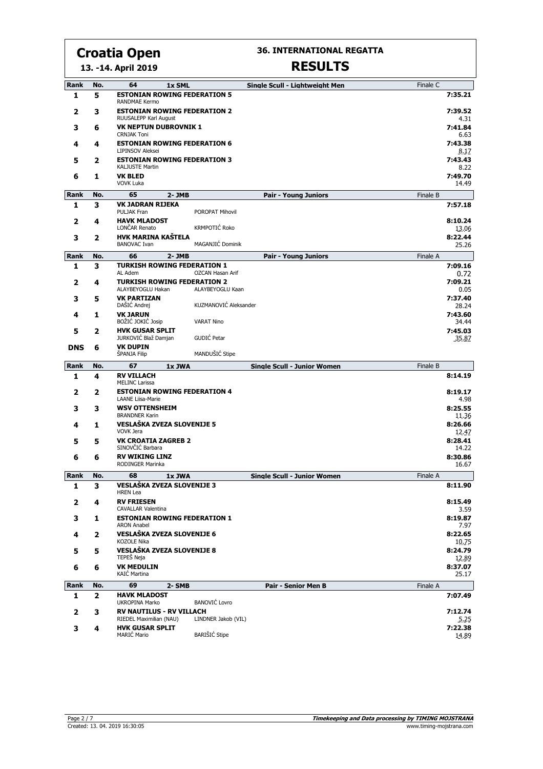**36. INTERNATIONAL REGATTA**

#### **13. -14. April 2019**

| Rank       | No. | 64<br>1x SML                                                    |                         | Single Scull - Lightweight Men     | Finale C |                           |
|------------|-----|-----------------------------------------------------------------|-------------------------|------------------------------------|----------|---------------------------|
| 1          | 5   | <b>ESTONIAN ROWING FEDERATION 5</b><br><b>RANDMAE Kermo</b>     |                         |                                    |          | 7:35.21                   |
| 2          | 3   | <b>ESTONIAN ROWING FEDERATION 2</b><br>RUUSALEPP Karl August    |                         |                                    |          | 7:39.52<br>4.31           |
| 3          | 6   | <b>VK NEPTUN DUBROVNIK 1</b><br><b>CRNJAK Toni</b>              |                         |                                    |          | 7:41.84<br>6.63           |
| 4          | 4   | <b>ESTONIAN ROWING FEDERATION 6</b><br><b>LIPINSOV Aleksei</b>  |                         |                                    |          | 7:43.38<br>8.17           |
| 5          | 2   | <b>ESTONIAN ROWING FEDERATION 3</b><br>KALJUSTE Martin          |                         |                                    |          | 7:43.43<br>8.22           |
| 6          | 1   | <b>VK BLED</b><br><b>VOVK Luka</b>                              |                         |                                    |          | 7:49.70<br>14.49          |
| Rank       | No. | 65<br>$2 - JMB$                                                 |                         | <b>Pair - Young Juniors</b>        | Finale B |                           |
| 1          | 3   | <b>VK JADRAN RIJEKA</b><br>PULJAK Fran                          | POROPAT Mihovil         |                                    |          | 7:57.18                   |
| 2          | 4   | <b>HAVK MLADOST</b><br>LONČAR Renato                            | KRMPOTIĆ Roko           |                                    |          | 8:10.24<br>13.06          |
| 3          | 2   | <b>HVK MARINA KAŚTELA</b><br><b>BANOVAC Ivan</b>                | MAGANJIĆ Dominik        |                                    |          | 8:22.44<br>25.26          |
| Rank       | No. | 66<br>$2 - JMB$                                                 |                         | <b>Pair - Young Juniors</b>        | Finale A |                           |
| 1          | 3   | <b>TURKISH ROWING FEDERATION 1</b><br>AL Adem                   | <b>OZCAN Hasan Arif</b> |                                    |          | 7:09.16<br>0.72           |
| 2          | 4   | <b>TURKISH ROWING FEDERATION 2</b><br>ALAYBEYOGLU Hakan         | ALAYBEYOGLU Kaan        |                                    |          | 7:09.21<br>0.05           |
| 3          | 5   | <b>VK PARTIZAN</b>                                              |                         |                                    |          | 7:37.40                   |
|            |     | DAŠIĆ Andrej                                                    | KUZMANOVIĆ Aleksander   |                                    |          | 28.24                     |
| 4          | 1   | <b>VK JARUN</b><br>BOŽIĆ JOKIĆ Josip                            | <b>VARAT Nino</b>       |                                    |          | 7:43.60<br>34.44          |
| 5          | 2   | <b>HVK GUSAR SPLIT</b>                                          |                         |                                    |          | 7:45.03                   |
| <b>DNS</b> | 6   | JURKOVIĆ Blaž Damjan<br><b>VK DUPIN</b>                         | GUDIĆ Petar             |                                    |          | 35.87                     |
|            |     | ŠPANJA Filip                                                    | MANDUŠIĆ Stipe          |                                    |          |                           |
| Rank       | No. | 67<br>1x JWA                                                    |                         | <b>Single Scull - Junior Women</b> | Finale B |                           |
| 1          | 4   | <b>RV VILLACH</b><br><b>MELINC Larissa</b>                      |                         |                                    |          | 8:14.19                   |
| 2          | 2   | <b>ESTONIAN ROWING FEDERATION 4</b><br><b>LAANE Liisa-Marie</b> |                         |                                    |          | 8:19.17<br>4.98           |
| 3          | з   | <b>WSV OTTENSHEIM</b><br><b>BRANDNER Karin</b>                  |                         |                                    |          | 8:25.55<br>11.36          |
| 4          | 1   | <b>VESLAŠKA ZVEZA SLOVENIJE 5</b><br><b>VOVK Jera</b>           |                         |                                    |          | 8:26.66<br>12.47          |
| 5          | 5   | <b>VK CROATIA ZAGREB 2</b><br>SINOVČIĆ Barbara                  |                         |                                    |          | 8:28.41<br>14.22          |
| 6          | 6   | <b>RV WIKING LINZ</b><br><b>RODINGER Marinka</b>                |                         |                                    |          | 8:30.86<br>16.67          |
| Rank       | No. | 68<br>1x JWA                                                    |                         | <b>Single Scull - Junior Women</b> | Finale A |                           |
| ı          | з   | VESLAŠKA ZVEZA SLOVENIJE 3<br><b>HREN Lea</b>                   |                         |                                    |          | 8:11.90                   |
| 2          | 4   | <b>RV FRIESEN</b><br><b>CAVALLAR Valentina</b>                  |                         |                                    |          | 8:15.49<br>3.59           |
| 3          | 1   | <b>ESTONIAN ROWING FEDERATION 1</b><br><b>ARON Anabel</b>       |                         |                                    |          | 8:19.87<br>7.97           |
| 4          | 2   | VESLAŠKA ZVEZA SLOVENIJE 6<br>KOZOLE Nika                       |                         |                                    |          | 8:22.65                   |
| 5          | 5   | VESLAŠKA ZVEZA SLOVENIJE 8<br>TEPEŠ Neja                        |                         |                                    |          | 10.75<br>8:24.79          |
| 6          | 6   | <b>VK MEDULIN</b><br>KAIĆ Martina                               |                         |                                    |          | 12.89<br>8:37.07<br>25.17 |
| Rank       | No. | 69<br>2- SMB                                                    |                         | <b>Pair - Senior Men B</b>         | Finale A |                           |
| 1          | 2   | <b>HAVK MLADOST</b>                                             |                         |                                    |          | 7:07.49                   |
|            |     | UKROPINA Marko                                                  | <b>BANOVIĆ Lovro</b>    |                                    |          |                           |
| 2          | 3   | <b>RV NAUTILUS - RV VILLACH</b><br>RIEDEL Maximilian (NAU)      | LINDNER Jakob (VIL)     |                                    |          | 7:12.74<br>5.25           |
| з          | 4   | <b>HVK GUSAR SPLIT</b><br><b>MARIĆ Mario</b>                    | <b>BARIŠIĆ Stipe</b>    |                                    |          | 7:22.38<br>14.89          |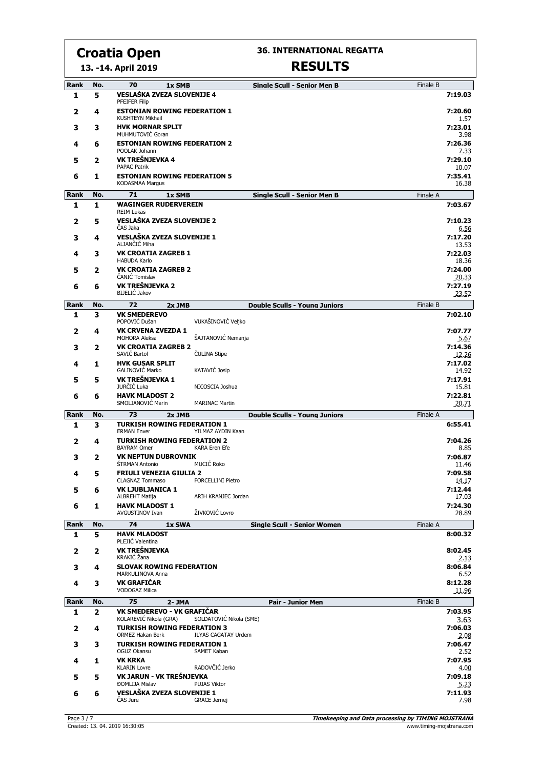**36. INTERNATIONAL REGATTA**

#### **13. -14. April 2019**

| Rank<br>1   | No.<br>5 | 70<br>1x SMB<br>VESLAŠKA ZVEZA SLOVENIJE 4                   |                            | <b>Single Scull - Senior Men B</b>   | Finale B | 7:19.03          |
|-------------|----------|--------------------------------------------------------------|----------------------------|--------------------------------------|----------|------------------|
| 2           | 4        | <b>PFEIFER Filip</b><br><b>ESTONIAN ROWING FEDERATION 1</b>  |                            |                                      |          | 7:20.60          |
|             |          | <b>KUSHTEYN Mikhail</b>                                      |                            |                                      |          | 1.57             |
| 3           | 3        | <b>HVK MORNAR SPLIT</b><br>MUHMUTOVIĆ Goran                  |                            |                                      |          | 7:23.01<br>3.98  |
| 4           | 6        | <b>ESTONIAN ROWING FEDERATION 2</b><br>POOLAK Johann         |                            |                                      |          | 7:26.36<br>7.33  |
| 5           | 2        | VK TREŠNJEVKA 4<br><b>PAPAC Patrik</b>                       |                            |                                      |          | 7:29.10<br>10.07 |
| 6           | 1        | <b>ESTONIAN ROWING FEDERATION 5</b><br>KODASMAA Margus       |                            |                                      |          | 7:35.41<br>16.38 |
| <b>Rank</b> | No.      | 71<br>1x SMB                                                 |                            | <b>Single Scull - Senior Men B</b>   | Finale A |                  |
| 1           | 1        | <b>WAGINGER RUDERVEREIN</b><br><b>REIM Lukas</b>             |                            |                                      |          | 7:03.67          |
| 2           | 5        | VESLAŠKA ZVEZA SLOVENIJE 2<br>ČAS Jaka                       |                            |                                      |          | 7:10.23<br>6.56  |
| 3           | 4        | VESLAŠKA ZVEZA SLOVENIJE 1<br>ALJANČIČ Miha                  |                            |                                      |          | 7:17.20          |
| 4           | 3        | <b>VK CROATIA ZAGREB 1</b>                                   |                            |                                      |          | 13.53<br>7:22.03 |
| 5           | 2        | <b>HABUDA Karlo</b><br><b>VK CROATIA ZAGREB 2</b>            |                            |                                      |          | 18.36<br>7:24.00 |
| 6           | 6        | ČANIĆ Tomislav<br>VK TREŠNJEVKA 2                            |                            |                                      |          | 20.33<br>7:27.19 |
|             |          | <b>BIJELIĆ Jakov</b>                                         |                            |                                      |          | 23.52            |
| Rank        | No.      | 72<br>2x JMB                                                 |                            | <b>Double Sculls - Young Juniors</b> | Finale B |                  |
| 1           | 3        | <b>VK SMEDEREVO</b><br>POPOVIĆ Dušan                         | VUKAŠINOVIĆ Veljko         |                                      |          | 7:02.10          |
| 2           | 4        | <b>VK CRVENA ZVEZDA 1</b><br><b>MOHORA Aleksa</b>            | ŠAJTANOVIĆ Nemanja         |                                      |          | 7:07.77<br>5.67  |
| 3           | 2        | <b>VK CROATIA ZAGREB 2</b><br>SAVIĆ Bartol                   | <b>ČULINA Stipe</b>        |                                      |          | 7:14.36<br>12.26 |
| 4           | 1        | <b>HVK GUSAR SPLIT</b><br>GALINOVIĆ Marko                    | KATAVIĆ Josip              |                                      |          | 7:17.02<br>14.92 |
| 5           | 5        | VK TREŠNJEVKA 1                                              |                            |                                      |          | 7:17.91          |
| 6           | 6        | JURČIĆ Luka<br><b>HAVK MLADOST 2</b>                         | NICOSCIA Joshua            |                                      |          | 15.81<br>7:22.81 |
|             |          | SMOLJANOVIĆ Marin                                            | <b>MARINAC Martin</b>      |                                      |          | 20.71            |
| Rank        | No.      | 73<br>2x JMB                                                 |                            | <b>Double Sculls - Young Juniors</b> | Finale A |                  |
| 1           | 3        | <b>TURKISH ROWING FEDERATION 1</b><br><b>ERMAN Enver</b>     | YILMAZ AYDIN Kaan          |                                      |          | 6:55.41          |
| 2           | 4        | <b>TURKISH ROWING FEDERATION 2</b><br><b>BAYRAM Omer</b>     | <b>KARA Eren Efe</b>       |                                      |          | 7:04.26<br>8.85  |
| 3           | 2        | <b>VK NEPTUN DUBROVNIK</b><br>ŠTRMAN Antonio                 | MUCIĆ Roko                 |                                      |          | 7:06.87<br>11.46 |
| 4           | 5        | <b>FRIULI VENEZIA GIULIA 2</b>                               |                            |                                      |          | 7:09.58          |
| 5           | 6        | <b>CLAGNAZ Tommaso</b><br><b>VK LJUBLJANICA 1</b>            | <b>FORCELLINI Pietro</b>   |                                      |          | 14.17<br>7:12.44 |
| 6           | 1        | ALBREHT Matija<br><b>HAVK MLADOST 1</b>                      | ARIH KRANJEC Jordan        |                                      |          | 17.03<br>7:24.30 |
|             |          | <b>AVGUSTINOV Ivan</b>                                       | ŽIVKOVIĆ Lovro             |                                      |          | 28.89            |
| Rank        | No.      | 74<br>1x SWA                                                 |                            | <b>Single Scull - Senior Women</b>   | Finale A |                  |
| 1           | 5        | <b>HAVK MLADOST</b><br>PLEJIĆ Valentina                      |                            |                                      |          | 8:00.32          |
| 2           | 2        | VK TREŠNJEVKA<br>KRAKIĆ Žana                                 |                            |                                      |          | 8:02.45<br>2.13  |
| 3           | 4        | <b>SLOVAK ROWING FEDERATION</b><br>MARKULINOVA Anna          |                            |                                      |          | 8:06.84<br>6.52  |
| 4           | 3        | <b>VK GRAFIČAR</b><br><b>VODOGAZ Milica</b>                  |                            |                                      |          | 8:12.28<br>11.96 |
| Rank        | No.      | 75<br>2- JMA                                                 |                            | <b>Pair - Junior Men</b>             | Finale B |                  |
| 1           | 2        | VK SMEDEREVO - VK GRAFIČAR                                   |                            |                                      |          | 7:03.95          |
| 2           | 4        | KOLAREVIĆ Nikola (GRA)<br><b>TURKISH ROWING FEDERATION 3</b> | SOLDATOVIĆ Nikola (SME)    |                                      |          | 3.63<br>7:06.03  |
| 3           | з        | ORMEZ Hakan Berk<br><b>TURKISH ROWING FEDERATION 1</b>       | <b>ILYAS CAGATAY Urdem</b> |                                      |          | 2.08<br>7:06.47  |
|             |          | OGUZ Okansu                                                  | SAMET Kaban                |                                      |          | 2.52             |
| 4           | 1        | <b>VK KRKA</b><br><b>KLARIN Lovre</b>                        | RADOVČIĆ Jerko             |                                      |          | 7:07.95<br>4.00  |
| 5           | 5        | VK JARUN - VK TREŠNJEVKA<br><b>ĐOMLIJA Mislav</b>            | <b>PUJAS Viktor</b>        |                                      |          | 7:09.18<br>5.23  |
| 6           | 6        | VESLAŠKA ZVEZA SLOVENIJE 1<br>ČAS Jure                       | <b>GRACE Jernej</b>        |                                      |          | 7:11.93<br>7.98  |
|             |          |                                                              |                            |                                      |          |                  |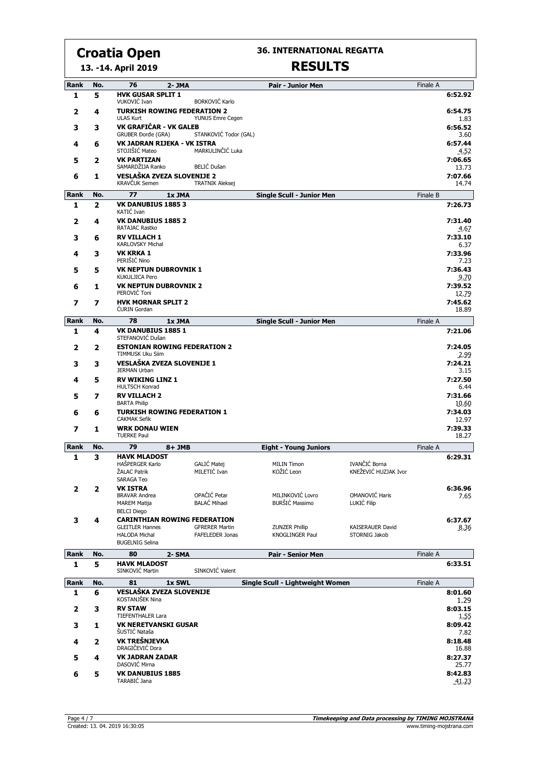**13. -14. April 2019**

#### **36. INTERNATIONAL REGATTA**

| Rank        | No. | 76<br>2- JMA                                                                                                    |                                                 | <b>Pair - Junior Men</b>                 |                                       | Finale A |                         |
|-------------|-----|-----------------------------------------------------------------------------------------------------------------|-------------------------------------------------|------------------------------------------|---------------------------------------|----------|-------------------------|
| 1           | 5   | <b>HVK GUSAR SPLIT 1</b><br>VUKOVIĆ Ivan                                                                        | <b>BORKOVIĆ Karlo</b>                           |                                          |                                       |          | 6:52.92                 |
| 2           | 4   | <b>TURKISH ROWING FEDERATION 2</b><br><b>ULAS Kurt</b>                                                          | YUNUS Emre Cegen                                |                                          |                                       |          | 6:54.75<br>1.83         |
| 3           | з   | VK GRAFIČAR - VK GALEB<br><b>GRUBER Đorđe (GRA)</b>                                                             | STANKOVIĆ Todor (GAL)                           |                                          |                                       |          | 6:56.52<br>3.60         |
| 4           | 6   | VK JADRAN RIJEKA - VK ISTRA<br>STOJIŠIĆ Mateo                                                                   | MARKULINČIĆ Luka                                |                                          |                                       |          | 6:57.44<br>4.52         |
| 5           | 2   | <b>VK PARTIZAN</b><br>SAMARDŽIJA Ranko                                                                          | BELIĆ Dušan                                     |                                          |                                       |          | 7:06.65<br>13.73        |
| 6           | 1   | VESLAŠKA ZVEZA SLOVENIJE 2<br>KRAVČUK Semen                                                                     | <b>TRATNIK Aleksej</b>                          |                                          |                                       |          | 7:07.66<br>14.74        |
| <b>Rank</b> | No. | 77<br>1x JMA                                                                                                    |                                                 | Single Scull - Junior Men                |                                       | Finale B |                         |
| 1           | 2   | VK DANUBIUS 1885 3<br>KATIĆ Ivan                                                                                |                                                 |                                          |                                       |          | 7:26.73                 |
| 2           | 4   | <b>VK DANUBIUS 1885 2</b><br>RATAJAC Rastko                                                                     |                                                 |                                          |                                       |          | 7:31.40<br>4.67         |
| 3           | 6   | <b>RV VILLACH 1</b><br><b>KARLOVSKY Michal</b>                                                                  |                                                 |                                          |                                       |          | 7:33.10<br>6.37         |
| 4           | 3   | <b>VK KRKA 1</b><br>PERIŠIĆ Nino                                                                                |                                                 |                                          |                                       |          | 7:33.96<br>7.23         |
| 5           | 5   | <b>VK NEPTUN DUBROVNIK 1</b><br>KUKULJICA Pero                                                                  |                                                 |                                          |                                       |          | 7:36.43<br>9.70         |
| 6           | 1   | <b>VK NEPTUN DUBROVNIK 2</b><br>PEROVIĆ Toni                                                                    |                                                 |                                          |                                       |          | 7:39.52<br>12.79        |
| 7           | 7   | <b>HVK MORNAR SPLIT 2</b><br><b>CURIN Gordan</b>                                                                |                                                 |                                          |                                       |          | 7:45.62<br>18.89        |
| Rank        | No. | 78<br>1x JMA                                                                                                    |                                                 | <b>Single Scull - Junior Men</b>         |                                       | Finale A |                         |
| 1           | 4   | VK DANUBIUS 1885 1<br>STEFANOVIĆ Dušan                                                                          |                                                 |                                          |                                       |          | 7:21.06                 |
| 2           | 2   | <b>ESTONIAN ROWING FEDERATION 2</b><br>TIMMUSK Uku Siim                                                         |                                                 |                                          |                                       |          | 7:24.05<br>2.99         |
| 3           | 3   | <b>VESLAŠKA ZVEZA SLOVENIJE 1</b><br><b>JERMAN Urban</b>                                                        |                                                 |                                          |                                       |          | 7:24.21<br>3.15         |
| 4           | 5   | <b>RV WIKING LINZ 1</b><br><b>HULTSCH Konrad</b>                                                                |                                                 |                                          |                                       |          | 7:27.50<br>6.44         |
| 5           | 7   | <b>RV VILLACH 2</b><br><b>BARTA Philip</b>                                                                      |                                                 |                                          |                                       |          | 7:31.66<br>10.60        |
| 6           | 6   | <b>TURKISH ROWING FEDERATION 1</b><br><b>CAKMAK Sefik</b>                                                       |                                                 |                                          |                                       |          | 7:34.03<br>12.97        |
| 7           | 1   | <b>WRK DONAU WIEN</b><br><b>TUERKE Paul</b>                                                                     |                                                 |                                          |                                       |          | 7:39.33<br>18.27        |
| Rank        | No. | 79<br>$8+JMB$                                                                                                   |                                                 | <b>Eight - Young Juniors</b>             |                                       | Finale A |                         |
| 1           | 3   | <b>HAVK MLADOST</b><br>HAŠPERGER Karlo<br>ŽALAC Patrik<br><b>SARAGA Teo</b>                                     | GALIĆ Matej<br>MILETIĆ Ivan                     | <b>MILIN Timon</b><br>KOŽIĆ Leon         | IVANČIĆ Borna<br>KNEŽEVIĆ HUZJAK Ivor |          | 6:29.31                 |
| 2           | 2   | VK ISTRA<br><b>BRAVAR Andrea</b>                                                                                | OPAČIĆ Petar                                    | MILINKOVIĆ Lovro                         | OMANOVIĆ Haris                        |          | 6:36.96<br>7.65         |
|             |     | <b>MAREM Matija</b><br><b>BELCI Diego</b>                                                                       | <b>BALAĆ Mihael</b>                             | BURŠIĆ Massimo                           | LUKIĆ Filip                           |          |                         |
| 3           | 4   | <b>CARINTHIAN ROWING FEDERATION</b><br><b>GLEITLER Hannes</b><br><b>HALODA Michal</b><br><b>BUGELNIG Selina</b> | <b>GFRERER Martin</b><br><b>FAFELEDER Jonas</b> | <b>ZUNZER Phillip</b><br>KNOGLINGER Paul | KAISERAUER David<br>STORNIG Jakob     |          | 6:37.67<br>8.36         |
| Rank        | No. | 80<br>2- SMA                                                                                                    |                                                 | <b>Pair - Senior Men</b>                 |                                       | Finale A |                         |
| 1           | 5   | <b>HAVK MLADOST</b><br>SINKOVIĆ Martin                                                                          | SINKOVIĆ Valent                                 |                                          |                                       |          | 6:33.51                 |
| Rank        | No. | 81<br>1x SWL                                                                                                    |                                                 | Single Scull - Lightweight Women         |                                       | Finale A |                         |
| 1           | 6   | VESLAŠKA ZVEZA SLOVENIJE<br>KOSTANJŠEK Nina                                                                     |                                                 |                                          |                                       |          | 8:01.60                 |
| 2           | 3   | <b>RV STAW</b><br><b>TIEFENTHALER Lara</b>                                                                      |                                                 |                                          |                                       |          | 1.29<br>8:03.15<br>1.55 |
| 3           | 1   | <b>VK NERETVANSKI GUSAR</b><br>ŠUSTIĆ Nataša                                                                    |                                                 |                                          |                                       |          | 8:09.42<br>7.82         |
| 4           | 2   | <b>VK TREŠNJEVKA</b><br>DRAGIČEVIĆ Dora                                                                         |                                                 |                                          |                                       |          | 8:18.48<br>16.88        |
| 5           | 4   | <b>VK JADRAN ZADAR</b><br>DASOVIĆ Mirna                                                                         |                                                 |                                          |                                       |          | 8:27.37<br>25.77        |
| 6           | 5   | <b>VK DANUBIUS 1885</b><br>TARABIĆ Jana                                                                         |                                                 |                                          |                                       |          | 8:42.83<br>41.23        |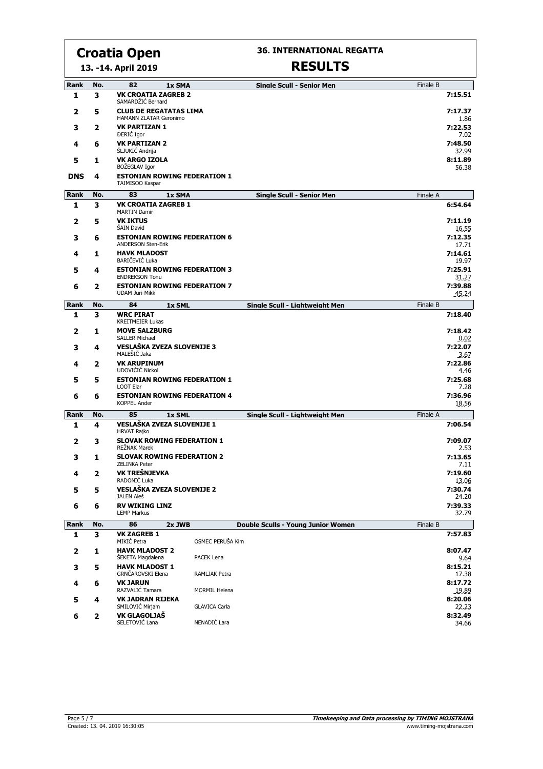**13. -14. April 2019**

#### **36. INTERNATIONAL REGATTA**

| <b>Rank</b>  | No. | 82<br>1x SMA                                                                   |                      | <b>Single Scull - Senior Men</b>          | Finale B |                          |
|--------------|-----|--------------------------------------------------------------------------------|----------------------|-------------------------------------------|----------|--------------------------|
| 1            | 3   | <b>VK CROATIA ZAGREB 2</b><br>SAMARDŽIĆ Bernard                                |                      |                                           |          | 7:15.51                  |
| 2            | 5   | <b>CLUB DE REGATATAS LIMA</b><br>HAMANN ZLATAR Geronimo                        |                      |                                           |          | 7:17.37<br>1.86          |
| 3            | 2   | <b>VK PARTIZAN 1</b><br><b>DERIC</b> Igor                                      |                      |                                           |          | 7:22.53<br>7.02          |
| 4            | 6   | <b>VK PARTIZAN 2</b><br><b>SLJUKIC Andrija</b>                                 |                      |                                           |          | 7:48.50<br>32.99         |
| 5            | 1   | <b>VK ARGO IZOLA</b><br>BOŽEGLAV Igor                                          |                      |                                           |          | 8:11.89<br>56.38         |
| <b>DNS</b>   | 4   | <b>ESTONIAN ROWING FEDERATION 1</b><br>TAIMISOO Kaspar                         |                      |                                           |          |                          |
| Rank         | No. | 83<br>1x SMA                                                                   |                      | <b>Single Scull - Senior Men</b>          | Finale A |                          |
| 1            | 3   | <b>VK CROATIA ZAGREB 1</b><br><b>MARTIN Damir</b>                              |                      |                                           |          | 6:54.64                  |
| 2            | 5   | <b>VK IKTUS</b><br><b>SAIN David</b>                                           |                      |                                           |          | 7:11.19<br>16.55         |
| з            | 6   | <b>ESTONIAN ROWING FEDERATION 6</b><br><b>ANDERSON Sten-Erik</b>               |                      |                                           |          | 7:12.35<br>17.71         |
| 4            | 1   | <b>HAVK MLADOST</b><br>BARIČEVIĆ Luka                                          |                      |                                           |          | 7:14.61<br>19.97         |
| 5            | 4   | <b>ESTONIAN ROWING FEDERATION 3</b><br><b>ENDREKSON Tonu</b>                   |                      |                                           |          | 7:25.91<br>31.27         |
| 6            | 2   | <b>ESTONIAN ROWING FEDERATION 7</b><br><b>UDAM Juri-Mikk</b>                   |                      |                                           |          | 7:39.88<br>45.24         |
| Rank         | No. | 84<br>1x SML                                                                   |                      | Single Scull - Lightweight Men            | Finale B |                          |
| 1            | 3   | <b>WRC PIRAT</b><br><b>KREITMEIER Lukas</b>                                    |                      |                                           |          | 7:18.40                  |
| $\mathbf{2}$ | 1   | <b>MOVE SALZBURG</b><br><b>SALLER Michael</b>                                  |                      |                                           |          | 7:18.42<br>0.02          |
| з            | 4   | VESLAŠKA ZVEZA SLOVENIJE 3<br>MALEŠIČ Jaka                                     |                      |                                           |          | 7:22.07                  |
| 4            | 2   | <b>VK ARUPINUM</b>                                                             |                      |                                           |          | 3.67<br>7:22.86          |
| 5            | 5   | UDOVIČIĆ Nickol<br><b>ESTONIAN ROWING FEDERATION 1</b>                         |                      |                                           |          | 4.46<br>7:25.68          |
| 6            | 6   | <b>LOOT Elar</b><br><b>ESTONIAN ROWING FEDERATION 4</b><br><b>KOPPEL Ander</b> |                      |                                           |          | 7.28<br>7:36.96<br>18.56 |
| Rank         | No. | 85<br>1x SML                                                                   |                      | Single Scull - Lightweight Men            | Finale A |                          |
| 1            | 4   | <b>VESLAŠKA ZVEZA SLOVENIJE 1</b><br><b>HRVAT Rajko</b>                        |                      |                                           |          | 7:06.54                  |
| $\mathbf{2}$ | 3   | <b>SLOVAK ROWING FEDERATION 1</b><br>REŽNAK Marek                              |                      |                                           |          | 7:09.07<br>2.53          |
| з            | 1   | <b>SLOVAK ROWING FEDERATION 2</b><br><b>ZELINKA Peter</b>                      |                      |                                           |          | 7:13.65<br>7.11          |
| 4            | 2   | VK TREŠNJEVKA<br>RADONIĆ Luka                                                  |                      |                                           |          | 7:19.60<br>13.06         |
| 5            | 5   | VESLASKA ZVEZA SLOVENIJE 2<br>JALEN Aleš                                       |                      |                                           |          | 7:30.74<br>24.20         |
| 6            | 6   | <b>RV WIKING LINZ</b><br><b>LEMP Markus</b>                                    |                      |                                           |          | 7:39.33<br>32.79         |
| <b>Rank</b>  | No. | 86<br>2x JWB                                                                   |                      | <b>Double Sculls - Young Junior Women</b> | Finale B |                          |
| $\mathbf{1}$ | 3   | <b>VK ZAGREB 1</b>                                                             |                      |                                           |          | 7:57.83                  |
| $\mathbf{2}$ | 1   | MIKIĆ Petra<br><b>HAVK MLADOST 2</b>                                           | OSMEC PERUŠA Kim     |                                           |          | 8:07.47                  |
| 3            | 5   | ŠEKETA Magdalena<br><b>HAVK MLADOST 1</b>                                      | PACEK Lena           |                                           |          | 9.64<br>8:15.21          |
|              |     | GRNČAROVSKI Elena<br><b>VK JARUN</b>                                           | RAMLJAK Petra        |                                           |          | 17.38<br>8:17.72         |
| 4            | 6   | RAZVALIĆ Tamara                                                                | <b>MORMIL Helena</b> |                                           |          | 19.89                    |
| 5            | 4   | <b>VK JADRAN RIJEKA</b><br>SMILOVIĆ Mirjam                                     | <b>GLAVICA Carla</b> |                                           |          | 8:20.06<br>22.23         |
| 6            | 2   | VK GLAGOLJAŠ<br>SELETOVIĆ Lana                                                 | NENADIĆ Lara         |                                           |          | 8:32.49<br>34.66         |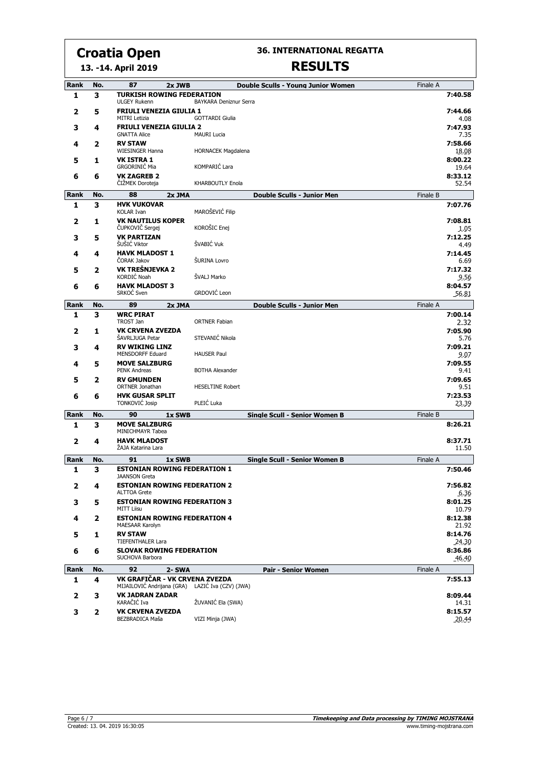**36. INTERNATIONAL REGATTA RESULTS**

#### **13. -14. April 2019**

| Rank                    | No. | 87<br>2x JWB                                                                       | Double Sculls - Young Junior Women           | Finale A |                           |
|-------------------------|-----|------------------------------------------------------------------------------------|----------------------------------------------|----------|---------------------------|
| 1                       | 3   | <b>TURKISH ROWING FEDERATION</b><br><b>ULGEY Rukenn</b>                            | BAYKARA Deniznur Serra                       |          | 7:40.58                   |
| $\mathbf{2}$            | 5   | <b>FRIULI VENEZIA GIULIA 1</b>                                                     |                                              |          | 7:44.66                   |
| з                       | 4   | <b>MITRI Letizia</b><br><b>FRIULI VENEZIA GIULIA 2</b><br><b>GNATTA Alice</b>      | <b>GOTTARDI Giulia</b><br><b>MAURI Lucia</b> |          | 4.08<br>7:47.93<br>7.35   |
| 4                       | 2   | <b>RV STAW</b><br><b>WIESINGER Hanna</b>                                           | <b>HORNACEK Magdalena</b>                    |          | 7:58.66<br>18.08          |
| 5                       | 1   | <b>VK ISTRA 1</b><br><b>GRGORINIĆ Mia</b>                                          | KOMPARIĆ Lara                                |          | 8:00.22<br>19.64          |
| 6                       | 6   | <b>VK ZAGREB 2</b><br>ČIŽMEK Doroteja                                              | <b>KHARBOUTLY Enola</b>                      |          | 8:33.12<br>52.54          |
| Rank                    | No. | 88<br>2x JMA                                                                       | <b>Double Sculls - Junior Men</b>            | Finale B |                           |
| 1                       | 3   | <b>HVK VUKOVAR</b><br><b>KOLAR Ivan</b>                                            | MAROŠEVIĆ Filip                              |          | 7:07.76                   |
| $\mathbf{2}$            | 1   | <b>VK NAUTILUS KOPER</b><br>ČUPKOVIČ Sergej                                        | KOROŠIC Enej                                 |          | 7:08.81<br>1.05           |
| з                       | 5   | <b>VK PARTIZAN</b><br>ŠUŠIĆ Viktor                                                 | ŠVABIĆ Vuk                                   |          | 7:12.25<br>4.49           |
| 4                       | 4   | <b>HAVK MLADOST 1</b><br><b>CORAK Jakov</b>                                        | ŠURINA Lovro                                 |          | 7:14.45<br>6.69           |
| 5                       | 2   | VK TREŠNJEVKA 2<br>KORDIĆ Noah                                                     | ŠVALJ Marko                                  |          | 7:17.32<br>9.56           |
| 6                       | 6   | <b>HAVK MLADOST 3</b><br>SRKOĆ Sven                                                | GRDOVIĆ Leon                                 |          | 8:04.57<br>56.81          |
| Rank                    | No. | 89<br>2x JMA                                                                       | <b>Double Sculls - Junior Men</b>            | Finale A |                           |
| 1                       | 3   | <b>WRC PIRAT</b><br><b>TROST Jan</b>                                               | <b>ORTNER Fabian</b>                         |          | 7:00.14<br>2.32           |
| $\mathbf{2}$            | 1   | <b>VK CRVENA ZVEZDA</b><br>ŠAVRLJUGA Petar                                         | STEVANIĆ Nikola                              |          | 7:05.90<br>5.76           |
| 3                       | 4   | <b>RV WIKING LINZ</b><br><b>MENSDORFF Eduard</b>                                   | <b>HAUSER Paul</b>                           |          | 7:09.21<br>9.07           |
| 4                       | 5   | <b>MOVE SALZBURG</b><br><b>PENK Andreas</b>                                        | <b>BOTHA Alexander</b>                       |          | 7:09.55<br>9.41           |
| 5                       | 2   | <b>RV GMUNDEN</b><br>ORTNER Jonathan                                               | <b>HESELTINE Robert</b>                      |          | 7:09.65<br>9.51           |
| 6                       | 6   | <b>HVK GUSAR SPLIT</b><br><b>TONKOVIĆ Josip</b>                                    | PLEIĆ Luka                                   |          | 7:23.53<br>23.39          |
| Rank                    | No. | 90<br>1x SWB                                                                       | <b>Single Scull - Senior Women B</b>         | Finale B |                           |
| 1                       | 3   | <b>MOVE SALZBURG</b><br>MINICHMAYR Tabea                                           |                                              |          | 8:26.21                   |
| $\overline{\mathbf{2}}$ | 4   | <b>HAVK MLADOST</b><br>ŻAJA Katarina Lara                                          |                                              |          | 8:37.71<br>11.50          |
| Rank                    | No. | 91<br>1x SWB                                                                       | <b>Single Scull - Senior Women B</b>         | Finale A |                           |
| 1                       | 3   | <b>ESTONIAN ROWING FEDERATION 1</b><br><b>JAANSON Greta</b>                        |                                              |          | 7:50.46                   |
| $\mathbf{2}$            | 4   | <b>ESTONIAN ROWING FEDERATION 2</b><br><b>ALTTOA Grete</b>                         |                                              |          | 7:56.82<br>6.36           |
| 3                       | 5   | <b>ESTONIAN ROWING FEDERATION 3</b><br><b>MITT Liisu</b>                           |                                              |          | 8:01.25<br>10.79          |
| 4                       | 2   | <b>ESTONIAN ROWING FEDERATION 4</b><br>MAESAAR Karolyn                             |                                              |          | 8:12.38<br>21.92          |
| 5                       | 1   | <b>RV STAW</b><br><b>TIEFENTHALER Lara</b>                                         |                                              |          | 8:14.76                   |
| 6                       | 6   | <b>SLOVAK ROWING FEDERATION</b><br>SUCHOVA Barbora                                 |                                              |          | 24.30<br>8:36.86<br>46.40 |
| Rank                    | No. | 92<br>2- SWA                                                                       | <b>Pair - Senior Women</b>                   | Finale A |                           |
| 1                       | 4   | VK GRAFIČAR - VK CRVENA ZVEZDA<br>MIJAILOVIĆ Andrijana (GRA) LAZIĆ Iva (CZV) (JWA) |                                              |          | 7:55.13                   |
| 2                       | 3   | <b>VK JADRAN ZADAR</b>                                                             |                                              |          | 8:09.44                   |
| 3                       | 2   | KARAČIĆ Iva<br><b>VK CRVENA ZVEZDA</b>                                             | ŽUVANIĆ Ela (SWA)                            |          | 14.31<br>8:15.57          |
|                         |     | BEZBRADICA Maša                                                                    | VIZI Minja (JWA)                             |          | 20.44                     |